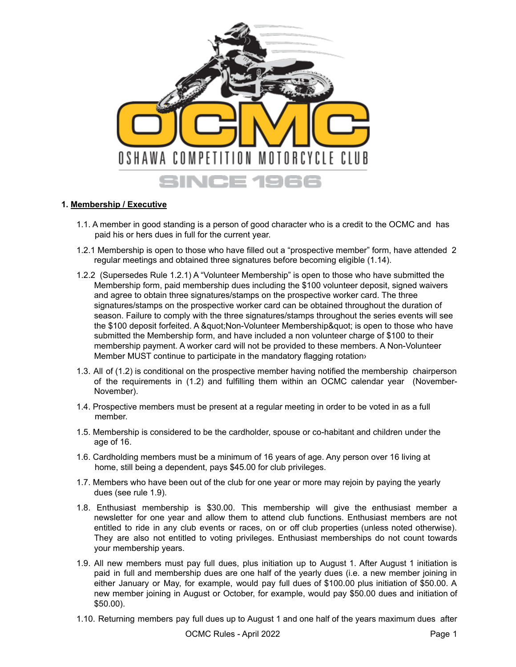

## **1. Membership / Executive**

- 1.1. A member in good standing is a person of good character who is a credit to the OCMC and has paid his or hers dues in full for the current year.
- 1.2.1 Membership is open to those who have filled out a "prospective member" form, have attended 2 regular meetings and obtained three signatures before becoming eligible (1.14).
- 1.2.2 (Supersedes Rule 1.2.1) A "Volunteer Membership" is open to those who have submitted the Membership form, paid membership dues including the \$100 volunteer deposit, signed waivers and agree to obtain three signatures/stamps on the prospective worker card. The three signatures/stamps on the prospective worker card can be obtained throughout the duration of season. Failure to comply with the three signatures/stamps throughout the series events will see the \$100 deposit forfeited. A &quot:Non-Volunteer Membership&quot: is open to those who have submitted the Membership form, and have included a non volunteer charge of \$100 to their membership payment. A worker card will not be provided to these members. A Non-Volunteer Member MUST continue to participate in the mandatory flagging rotation›
- 1.3. All of (1.2) is conditional on the prospective member having notified the membership chairperson of the requirements in (1.2) and fulfilling them within an OCMC calendar year (November-November).
- 1.4. Prospective members must be present at a regular meeting in order to be voted in as a full member.
- 1.5. Membership is considered to be the cardholder, spouse or co-habitant and children under the age of 16.
- 1.6. Cardholding members must be a minimum of 16 years of age. Any person over 16 living at home, still being a dependent, pays \$45.00 for club privileges.
- 1.7. Members who have been out of the club for one year or more may rejoin by paying the yearly dues (see rule 1.9).
- 1.8. Enthusiast membership is \$30.00. This membership will give the enthusiast member a newsletter for one year and allow them to attend club functions. Enthusiast members are not entitled to ride in any club events or races, on or off club properties (unless noted otherwise). They are also not entitled to voting privileges. Enthusiast memberships do not count towards your membership years.
- 1.9. All new members must pay full dues, plus initiation up to August 1. After August 1 initiation is paid in full and membership dues are one half of the yearly dues (i.e. a new member joining in either January or May, for example, would pay full dues of \$100.00 plus initiation of \$50.00. A new member joining in August or October, for example, would pay \$50.00 dues and initiation of \$50.00).
- 1.10. Returning members pay full dues up to August 1 and one half of the years maximum dues after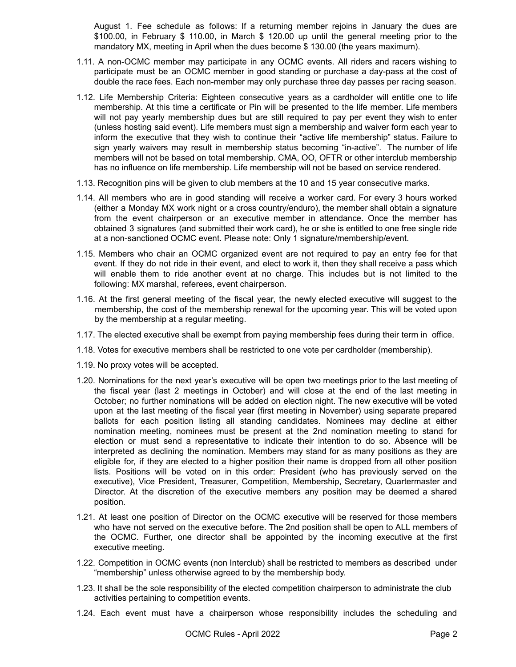August 1. Fee schedule as follows: If a returning member rejoins in January the dues are \$100.00, in February \$ 110.00, in March \$ 120.00 up until the general meeting prior to the mandatory MX, meeting in April when the dues become \$ 130.00 (the years maximum).

- 1.11. A non-OCMC member may participate in any OCMC events. All riders and racers wishing to participate must be an OCMC member in good standing or purchase a day-pass at the cost of double the race fees. Each non-member may only purchase three day passes per racing season.
- 1.12. Life Membership Criteria: Eighteen consecutive years as a cardholder will entitle one to life membership. At this time a certificate or Pin will be presented to the life member. Life members will not pay yearly membership dues but are still required to pay per event they wish to enter (unless hosting said event). Life members must sign a membership and waiver form each year to inform the executive that they wish to continue their "active life membership" status. Failure to sign yearly waivers may result in membership status becoming "in-active". The number of life members will not be based on total membership. CMA, OO, OFTR or other interclub membership has no influence on life membership. Life membership will not be based on service rendered.
- 1.13. Recognition pins will be given to club members at the 10 and 15 year consecutive marks.
- 1.14. All members who are in good standing will receive a worker card. For every 3 hours worked (either a Monday MX work night or a cross country/enduro), the member shall obtain a signature from the event chairperson or an executive member in attendance. Once the member has obtained 3 signatures (and submitted their work card), he or she is entitled to one free single ride at a non-sanctioned OCMC event. Please note: Only 1 signature/membership/event.
- 1.15. Members who chair an OCMC organized event are not required to pay an entry fee for that event. If they do not ride in their event, and elect to work it, then they shall receive a pass which will enable them to ride another event at no charge. This includes but is not limited to the following: MX marshal, referees, event chairperson.
- 1.16. At the first general meeting of the fiscal year, the newly elected executive will suggest to the membership, the cost of the membership renewal for the upcoming year. This will be voted upon by the membership at a regular meeting.
- 1.17. The elected executive shall be exempt from paying membership fees during their term in office.
- 1.18. Votes for executive members shall be restricted to one vote per cardholder (membership).
- 1.19. No proxy votes will be accepted.
- 1.20. Nominations for the next year's executive will be open two meetings prior to the last meeting of the fiscal year (last 2 meetings in October) and will close at the end of the last meeting in October; no further nominations will be added on election night. The new executive will be voted upon at the last meeting of the fiscal year (first meeting in November) using separate prepared ballots for each position listing all standing candidates. Nominees may decline at either nomination meeting, nominees must be present at the 2nd nomination meeting to stand for election or must send a representative to indicate their intention to do so. Absence will be interpreted as declining the nomination. Members may stand for as many positions as they are eligible for, if they are elected to a higher position their name is dropped from all other position lists. Positions will be voted on in this order: President (who has previously served on the executive), Vice President, Treasurer, Competition, Membership, Secretary, Quartermaster and Director. At the discretion of the executive members any position may be deemed a shared position.
- 1.21. At least one position of Director on the OCMC executive will be reserved for those members who have not served on the executive before. The 2nd position shall be open to ALL members of the OCMC. Further, one director shall be appointed by the incoming executive at the first executive meeting.
- 1.22. Competition in OCMC events (non Interclub) shall be restricted to members as described under "membership" unless otherwise agreed to by the membership body.
- 1.23. It shall be the sole responsibility of the elected competition chairperson to administrate the club activities pertaining to competition events.
- 1.24. Each event must have a chairperson whose responsibility includes the scheduling and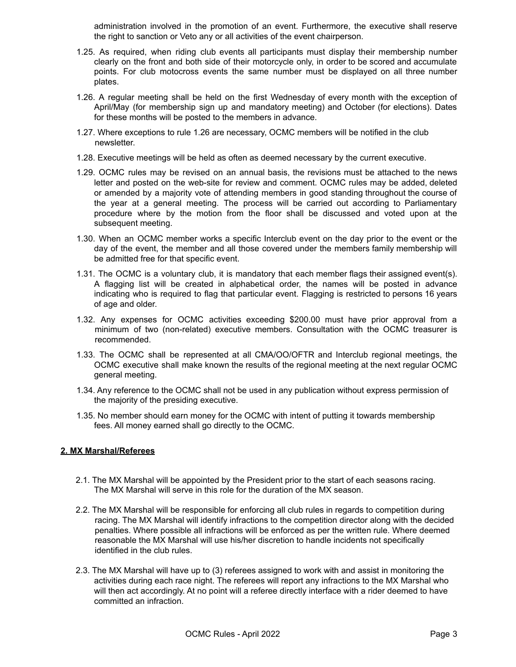administration involved in the promotion of an event. Furthermore, the executive shall reserve the right to sanction or Veto any or all activities of the event chairperson.

- 1.25. As required, when riding club events all participants must display their membership number clearly on the front and both side of their motorcycle only, in order to be scored and accumulate points. For club motocross events the same number must be displayed on all three number plates.
- 1.26. A regular meeting shall be held on the first Wednesday of every month with the exception of April/May (for membership sign up and mandatory meeting) and October (for elections). Dates for these months will be posted to the members in advance.
- 1.27. Where exceptions to rule 1.26 are necessary, OCMC members will be notified in the club newsletter.
- 1.28. Executive meetings will be held as often as deemed necessary by the current executive.
- 1.29. OCMC rules may be revised on an annual basis, the revisions must be attached to the news letter and posted on the web-site for review and comment. OCMC rules may be added, deleted or amended by a majority vote of attending members in good standing throughout the course of the year at a general meeting. The process will be carried out according to Parliamentary procedure where by the motion from the floor shall be discussed and voted upon at the subsequent meeting.
- 1.30. When an OCMC member works a specific Interclub event on the day prior to the event or the day of the event, the member and all those covered under the members family membership will be admitted free for that specific event.
- 1.31. The OCMC is a voluntary club, it is mandatory that each member flags their assigned event(s). A flagging list will be created in alphabetical order, the names will be posted in advance indicating who is required to flag that particular event. Flagging is restricted to persons 16 years of age and older.
- 1.32. Any expenses for OCMC activities exceeding \$200.00 must have prior approval from a minimum of two (non-related) executive members. Consultation with the OCMC treasurer is recommended.
- 1.33. The OCMC shall be represented at all CMA/OO/OFTR and Interclub regional meetings, the OCMC executive shall make known the results of the regional meeting at the next regular OCMC general meeting.
- 1.34. Any reference to the OCMC shall not be used in any publication without express permission of the majority of the presiding executive.
- 1.35. No member should earn money for the OCMC with intent of putting it towards membership fees. All money earned shall go directly to the OCMC.

#### **2. MX Marshal/Referees**

- 2.1. The MX Marshal will be appointed by the President prior to the start of each seasons racing. The MX Marshal will serve in this role for the duration of the MX season.
- 2.2. The MX Marshal will be responsible for enforcing all club rules in regards to competition during racing. The MX Marshal will identify infractions to the competition director along with the decided penalties. Where possible all infractions will be enforced as per the written rule. Where deemed reasonable the MX Marshal will use his/her discretion to handle incidents not specifically identified in the club rules.
- 2.3. The MX Marshal will have up to (3) referees assigned to work with and assist in monitoring the activities during each race night. The referees will report any infractions to the MX Marshal who will then act accordingly. At no point will a referee directly interface with a rider deemed to have committed an infraction.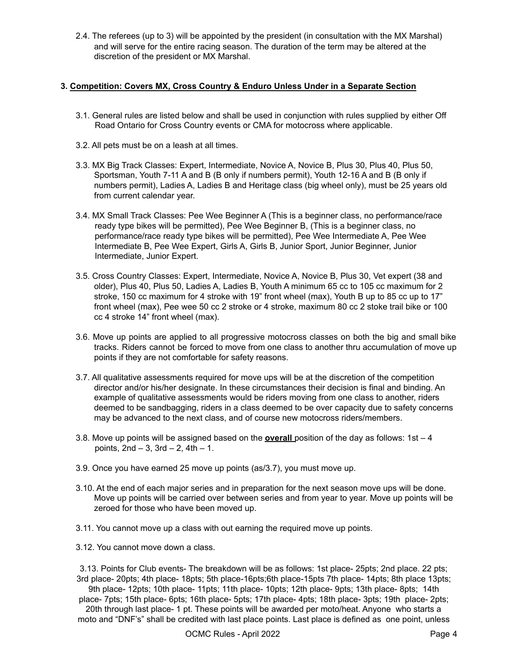2.4. The referees (up to 3) will be appointed by the president (in consultation with the MX Marshal) and will serve for the entire racing season. The duration of the term may be altered at the discretion of the president or MX Marshal.

## **3. Competition: Covers MX, Cross Country & Enduro Unless Under in a Separate Section**

- 3.1. General rules are listed below and shall be used in conjunction with rules supplied by either Off Road Ontario for Cross Country events or CMA for motocross where applicable.
- 3.2. All pets must be on a leash at all times.
- 3.3. MX Big Track Classes: Expert, Intermediate, Novice A, Novice B, Plus 30, Plus 40, Plus 50, Sportsman, Youth 7-11 A and B (B only if numbers permit), Youth 12-16 A and B (B only if numbers permit), Ladies A, Ladies B and Heritage class (big wheel only), must be 25 years old from current calendar year.
- 3.4. MX Small Track Classes: Pee Wee Beginner A (This is a beginner class, no performance/race ready type bikes will be permitted), Pee Wee Beginner B, (This is a beginner class, no performance/race ready type bikes will be permitted), Pee Wee Intermediate A, Pee Wee Intermediate B, Pee Wee Expert, Girls A, Girls B, Junior Sport, Junior Beginner, Junior Intermediate, Junior Expert.
- 3.5. Cross Country Classes: Expert, Intermediate, Novice A, Novice B, Plus 30, Vet expert (38 and older), Plus 40, Plus 50, Ladies A, Ladies B, Youth A minimum 65 cc to 105 cc maximum for 2 stroke, 150 cc maximum for 4 stroke with 19" front wheel (max), Youth B up to 85 cc up to 17" front wheel (max), Pee wee 50 cc 2 stroke or 4 stroke, maximum 80 cc 2 stoke trail bike or 100 cc 4 stroke 14" front wheel (max).
- 3.6. Move up points are applied to all progressive motocross classes on both the big and small bike tracks. Riders cannot be forced to move from one class to another thru accumulation of move up points if they are not comfortable for safety reasons.
- 3.7. All qualitative assessments required for move ups will be at the discretion of the competition director and/or his/her designate. In these circumstances their decision is final and binding. An example of qualitative assessments would be riders moving from one class to another, riders deemed to be sandbagging, riders in a class deemed to be over capacity due to safety concerns may be advanced to the next class, and of course new motocross riders/members.
- 3.8. Move up points will be assigned based on the **overall** position of the day as follows: 1st 4 points, 2nd – 3, 3rd – 2, 4th – 1.
- 3.9. Once you have earned 25 move up points (as/3.7), you must move up.
- 3.10. At the end of each major series and in preparation for the next season move ups will be done. Move up points will be carried over between series and from year to year. Move up points will be zeroed for those who have been moved up.
- 3.11. You cannot move up a class with out earning the required move up points.
- 3.12. You cannot move down a class.

3.13. Points for Club events- The breakdown will be as follows: 1st place- 25pts; 2nd place. 22 pts; 3rd place- 20pts; 4th place- 18pts; 5th place-16pts;6th place-15pts 7th place- 14pts; 8th place 13pts;

9th place- 12pts; 10th place- 11pts; 11th place- 10pts; 12th place- 9pts; 13th place- 8pts; 14th place- 7pts; 15th place- 6pts; 16th place- 5pts; 17th place- 4pts; 18th place- 3pts; 19th place- 2pts;

20th through last place- 1 pt. These points will be awarded per moto/heat. Anyone who starts a moto and "DNF's" shall be credited with last place points. Last place is defined as one point, unless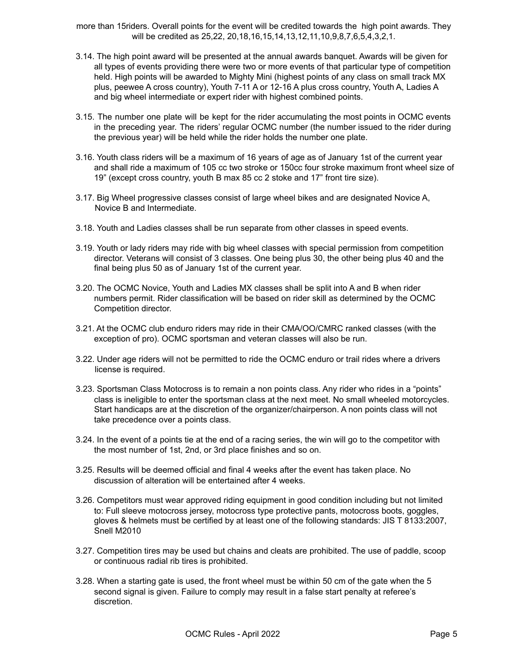more than 15riders. Overall points for the event will be credited towards the high point awards. They will be credited as 25,22, 20,18,16,15,14,13,12,11,10,9,8,7,6,5,4,3,2,1.

- 3.14. The high point award will be presented at the annual awards banquet. Awards will be given for all types of events providing there were two or more events of that particular type of competition held. High points will be awarded to Mighty Mini (highest points of any class on small track MX plus, peewee A cross country), Youth 7-11 A or 12-16 A plus cross country, Youth A, Ladies A and big wheel intermediate or expert rider with highest combined points.
- 3.15. The number one plate will be kept for the rider accumulating the most points in OCMC events in the preceding year. The riders' regular OCMC number (the number issued to the rider during the previous year) will be held while the rider holds the number one plate.
- 3.16. Youth class riders will be a maximum of 16 years of age as of January 1st of the current year and shall ride a maximum of 105 cc two stroke or 150cc four stroke maximum front wheel size of 19" (except cross country, youth B max 85 cc 2 stoke and 17" front tire size).
- 3.17. Big Wheel progressive classes consist of large wheel bikes and are designated Novice A, Novice B and Intermediate.
- 3.18. Youth and Ladies classes shall be run separate from other classes in speed events.
- 3.19. Youth or lady riders may ride with big wheel classes with special permission from competition director. Veterans will consist of 3 classes. One being plus 30, the other being plus 40 and the final being plus 50 as of January 1st of the current year.
- 3.20. The OCMC Novice, Youth and Ladies MX classes shall be split into A and B when rider numbers permit. Rider classification will be based on rider skill as determined by the OCMC Competition director.
- 3.21. At the OCMC club enduro riders may ride in their CMA/OO/CMRC ranked classes (with the exception of pro). OCMC sportsman and veteran classes will also be run.
- 3.22. Under age riders will not be permitted to ride the OCMC enduro or trail rides where a drivers license is required.
- 3.23. Sportsman Class Motocross is to remain a non points class. Any rider who rides in a "points" class is ineligible to enter the sportsman class at the next meet. No small wheeled motorcycles. Start handicaps are at the discretion of the organizer/chairperson. A non points class will not take precedence over a points class.
- 3.24. In the event of a points tie at the end of a racing series, the win will go to the competitor with the most number of 1st, 2nd, or 3rd place finishes and so on.
- 3.25. Results will be deemed official and final 4 weeks after the event has taken place. No discussion of alteration will be entertained after 4 weeks.
- 3.26. Competitors must wear approved riding equipment in good condition including but not limited to: Full sleeve motocross jersey, motocross type protective pants, motocross boots, goggles, gloves & helmets must be certified by at least one of the following standards: JIS T 8133:2007, Snell M2010
- 3.27. Competition tires may be used but chains and cleats are prohibited. The use of paddle, scoop or continuous radial rib tires is prohibited.
- 3.28. When a starting gate is used, the front wheel must be within 50 cm of the gate when the 5 second signal is given. Failure to comply may result in a false start penalty at referee's discretion.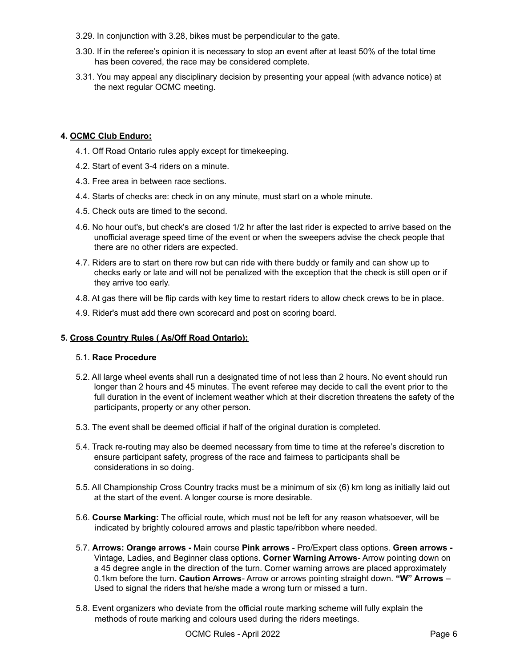- 3.29. In conjunction with 3.28, bikes must be perpendicular to the gate.
- 3.30. If in the referee's opinion it is necessary to stop an event after at least 50% of the total time has been covered, the race may be considered complete.
- 3.31. You may appeal any disciplinary decision by presenting your appeal (with advance notice) at the next regular OCMC meeting.

# **4. OCMC Club Enduro:**

- 4.1. Off Road Ontario rules apply except for timekeeping.
- 4.2. Start of event 3-4 riders on a minute.
- 4.3. Free area in between race sections.
- 4.4. Starts of checks are: check in on any minute, must start on a whole minute.
- 4.5. Check outs are timed to the second.
- 4.6. No hour out's, but check's are closed 1/2 hr after the last rider is expected to arrive based on the unofficial average speed time of the event or when the sweepers advise the check people that there are no other riders are expected.
- 4.7. Riders are to start on there row but can ride with there buddy or family and can show up to checks early or late and will not be penalized with the exception that the check is still open or if they arrive too early.
- 4.8. At gas there will be flip cards with key time to restart riders to allow check crews to be in place.
- 4.9. Rider's must add there own scorecard and post on scoring board.

## **5. Cross Country Rules ( As/Off Road Ontario):**

# 5.1. **Race Procedure**

- 5.2. All large wheel events shall run a designated time of not less than 2 hours. No event should run longer than 2 hours and 45 minutes. The event referee may decide to call the event prior to the full duration in the event of inclement weather which at their discretion threatens the safety of the participants, property or any other person.
- 5.3. The event shall be deemed official if half of the original duration is completed.
- 5.4. Track re-routing may also be deemed necessary from time to time at the referee's discretion to ensure participant safety, progress of the race and fairness to participants shall be considerations in so doing.
- 5.5. All Championship Cross Country tracks must be a minimum of six (6) km long as initially laid out at the start of the event. A longer course is more desirable.
- 5.6. **Course Marking:** The official route, which must not be left for any reason whatsoever, will be indicated by brightly coloured arrows and plastic tape/ribbon where needed.
- 5.7. **Arrows: Orange arrows -** Main course **Pink arrows** Pro/Expert class options. **Green arrows -** Vintage, Ladies, and Beginner class options. **Corner Warning Arrows**- Arrow pointing down on a 45 degree angle in the direction of the turn. Corner warning arrows are placed approximately 0.1km before the turn. **Caution Arrows**- Arrow or arrows pointing straight down. **"W" Arrows** – Used to signal the riders that he/she made a wrong turn or missed a turn.
- 5.8. Event organizers who deviate from the official route marking scheme will fully explain the methods of route marking and colours used during the riders meetings.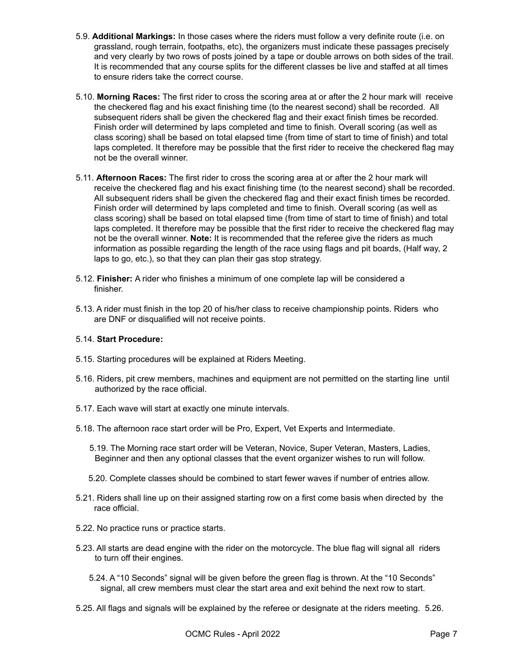- 5.9. **Additional Markings:** In those cases where the riders must follow a very definite route (i.e. on grassland, rough terrain, footpaths, etc), the organizers must indicate these passages precisely and very clearly by two rows of posts joined by a tape or double arrows on both sides of the trail. It is recommended that any course splits for the different classes be live and staffed at all times to ensure riders take the correct course.
- 5.10. **Morning Races:** The first rider to cross the scoring area at or after the 2 hour mark will receive the checkered flag and his exact finishing time (to the nearest second) shall be recorded. All subsequent riders shall be given the checkered flag and their exact finish times be recorded. Finish order will determined by laps completed and time to finish. Overall scoring (as well as class scoring) shall be based on total elapsed time (from time of start to time of finish) and total laps completed. It therefore may be possible that the first rider to receive the checkered flag may not be the overall winner.
- 5.11. **Afternoon Races:** The first rider to cross the scoring area at or after the 2 hour mark will receive the checkered flag and his exact finishing time (to the nearest second) shall be recorded. All subsequent riders shall be given the checkered flag and their exact finish times be recorded. Finish order will determined by laps completed and time to finish. Overall scoring (as well as class scoring) shall be based on total elapsed time (from time of start to time of finish) and total laps completed. It therefore may be possible that the first rider to receive the checkered flag may not be the overall winner. **Note:** It is recommended that the referee give the riders as much information as possible regarding the length of the race using flags and pit boards, (Half way, 2 laps to go, etc.), so that they can plan their gas stop strategy.
- 5.12. **Finisher:** A rider who finishes a minimum of one complete lap will be considered a finisher.
- 5.13. A rider must finish in the top 20 of his/her class to receive championship points. Riders who are DNF or disqualified will not receive points.

#### 5.14. **Start Procedure:**

- 5.15. Starting procedures will be explained at Riders Meeting.
- 5.16. Riders, pit crew members, machines and equipment are not permitted on the starting line until authorized by the race official.
- 5.17. Each wave will start at exactly one minute intervals.
- 5.18. The afternoon race start order will be Pro, Expert, Vet Experts and Intermediate.
	- 5.19. The Morning race start order will be Veteran, Novice, Super Veteran, Masters, Ladies, Beginner and then any optional classes that the event organizer wishes to run will follow.
	- 5.20. Complete classes should be combined to start fewer waves if number of entries allow.
- 5.21. Riders shall line up on their assigned starting row on a first come basis when directed by the race official.
- 5.22. No practice runs or practice starts.
- 5.23. All starts are dead engine with the rider on the motorcycle. The blue flag will signal all riders to turn off their engines.
	- 5.24. A "10 Seconds" signal will be given before the green flag is thrown. At the "10 Seconds" signal, all crew members must clear the start area and exit behind the next row to start.
- 5.25. All flags and signals will be explained by the referee or designate at the riders meeting. 5.26.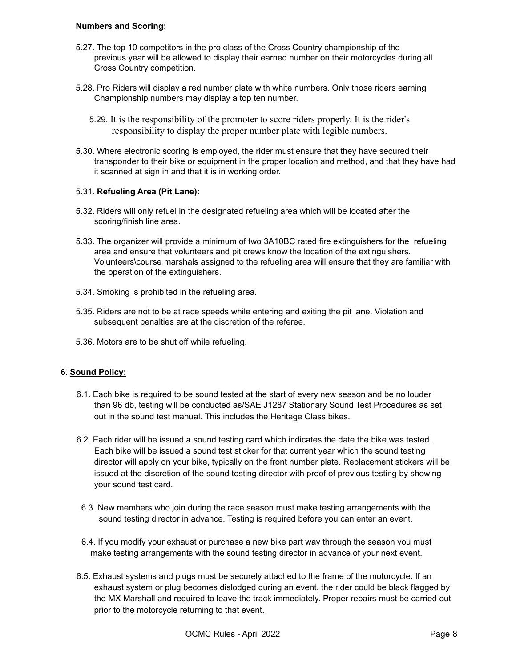### **Numbers and Scoring:**

- 5.27. The top 10 competitors in the pro class of the Cross Country championship of the previous year will be allowed to display their earned number on their motorcycles during all Cross Country competition.
- 5.28. Pro Riders will display a red number plate with white numbers. Only those riders earning Championship numbers may display a top ten number.
	- 5.29. It is the responsibility of the promoter to score riders properly. It is the rider's responsibility to display the proper number plate with legible numbers.
- 5.30. Where electronic scoring is employed, the rider must ensure that they have secured their transponder to their bike or equipment in the proper location and method, and that they have had it scanned at sign in and that it is in working order.

## 5.31. **Refueling Area (Pit Lane):**

- 5.32. Riders will only refuel in the designated refueling area which will be located after the scoring/finish line area.
- 5.33. The organizer will provide a minimum of two 3A10BC rated fire extinguishers for the refueling area and ensure that volunteers and pit crews know the location of the extinguishers. Volunteers\course marshals assigned to the refueling area will ensure that they are familiar with the operation of the extinguishers.
- 5.34. Smoking is prohibited in the refueling area.
- 5.35. Riders are not to be at race speeds while entering and exiting the pit lane. Violation and subsequent penalties are at the discretion of the referee.
- 5.36. Motors are to be shut off while refueling.

## **6. Sound Policy:**

- 6.1. Each bike is required to be sound tested at the start of every new season and be no louder than 96 db, testing will be conducted as/SAE J1287 Stationary Sound Test Procedures as set out in the sound test manual. This includes the Heritage Class bikes.
- 6.2. Each rider will be issued a sound testing card which indicates the date the bike was tested. Each bike will be issued a sound test sticker for that current year which the sound testing director will apply on your bike, typically on the front number plate. Replacement stickers will be issued at the discretion of the sound testing director with proof of previous testing by showing your sound test card.
- 6.3. New members who join during the race season must make testing arrangements with the sound testing director in advance. Testing is required before you can enter an event.
- 6.4. If you modify your exhaust or purchase a new bike part way through the season you must make testing arrangements with the sound testing director in advance of your next event.
- 6.5. Exhaust systems and plugs must be securely attached to the frame of the motorcycle. If an exhaust system or plug becomes dislodged during an event, the rider could be black flagged by the MX Marshall and required to leave the track immediately. Proper repairs must be carried out prior to the motorcycle returning to that event.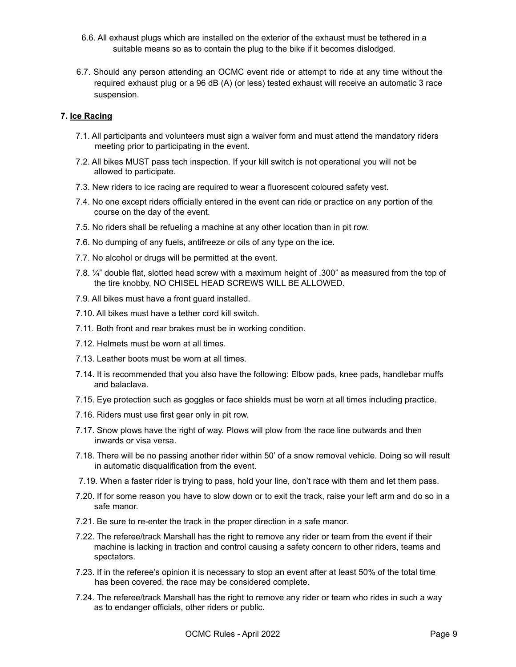- 6.6. All exhaust plugs which are installed on the exterior of the exhaust must be tethered in a suitable means so as to contain the plug to the bike if it becomes dislodged.
- 6.7. Should any person attending an OCMC event ride or attempt to ride at any time without the required exhaust plug or a 96 dB (A) (or less) tested exhaust will receive an automatic 3 race suspension.

### **7. Ice Racing**

- 7.1. All participants and volunteers must sign a waiver form and must attend the mandatory riders meeting prior to participating in the event.
- 7.2. All bikes MUST pass tech inspection. If your kill switch is not operational you will not be allowed to participate.
- 7.3. New riders to ice racing are required to wear a fluorescent coloured safety vest.
- 7.4. No one except riders officially entered in the event can ride or practice on any portion of the course on the day of the event.
- 7.5. No riders shall be refueling a machine at any other location than in pit row.
- 7.6. No dumping of any fuels, antifreeze or oils of any type on the ice.
- 7.7. No alcohol or drugs will be permitted at the event.
- 7.8. ¼" double flat, slotted head screw with a maximum height of .300" as measured from the top of the tire knobby. NO CHISEL HEAD SCREWS WILL BE ALLOWED.
- 7.9. All bikes must have a front guard installed.
- 7.10. All bikes must have a tether cord kill switch.
- 7.11. Both front and rear brakes must be in working condition.
- 7.12. Helmets must be worn at all times.
- 7.13. Leather boots must be worn at all times.
- 7.14. It is recommended that you also have the following: Elbow pads, knee pads, handlebar muffs and balaclava.
- 7.15. Eye protection such as goggles or face shields must be worn at all times including practice.
- 7.16. Riders must use first gear only in pit row.
- 7.17. Snow plows have the right of way. Plows will plow from the race line outwards and then inwards or visa versa.
- 7.18. There will be no passing another rider within 50' of a snow removal vehicle. Doing so will result in automatic disqualification from the event.
- 7.19. When a faster rider is trying to pass, hold your line, don't race with them and let them pass.
- 7.20. If for some reason you have to slow down or to exit the track, raise your left arm and do so in a safe manor.
- 7.21. Be sure to re-enter the track in the proper direction in a safe manor.
- 7.22. The referee/track Marshall has the right to remove any rider or team from the event if their machine is lacking in traction and control causing a safety concern to other riders, teams and spectators.
- 7.23. If in the referee's opinion it is necessary to stop an event after at least 50% of the total time has been covered, the race may be considered complete.
- 7.24. The referee/track Marshall has the right to remove any rider or team who rides in such a way as to endanger officials, other riders or public.